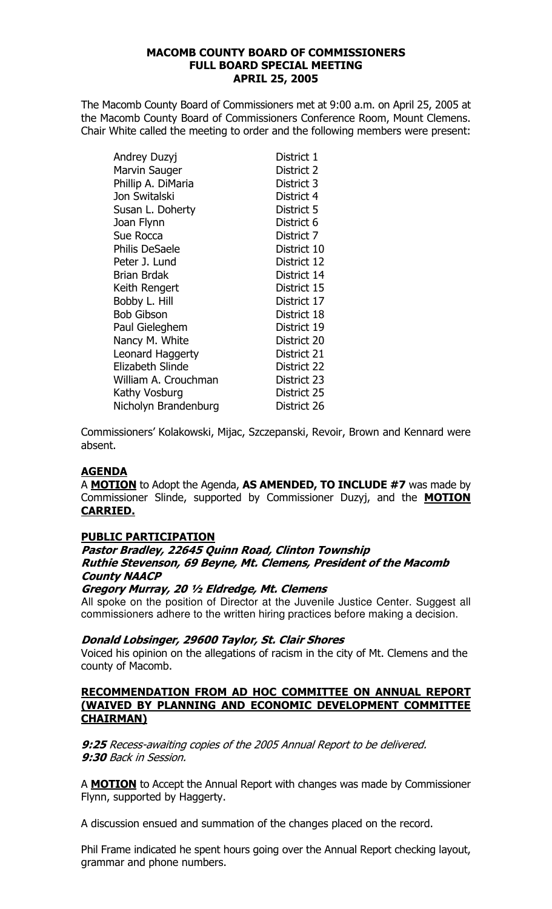# **MACOMB COUNTY BOARD OF COMMISSIONERS FULL BOARD SPECIAL MEETING APRIL 25, 2005**

The Macomb County Board of Commissioners met at 9:00 a.m. on April 25, 2005 at the Macomb County Board of Commissioners Conference Room, Mount Clemens. Chair White called the meeting to order and the following members were present:

| Andrey Duzyj         | District 1  |
|----------------------|-------------|
| Marvin Sauger        | District 2  |
| Phillip A. DiMaria   | District 3  |
| Jon Switalski        | District 4  |
| Susan L. Doherty     | District 5  |
| Joan Flynn           | District 6  |
| Sue Rocca            | District 7  |
| Philis DeSaele       | District 10 |
| Peter J. Lund        | District 12 |
| Brian Brdak          | District 14 |
| Keith Rengert        | District 15 |
| Bobby L. Hill        | District 17 |
| Bob Gibson           | District 18 |
| Paul Gieleghem       | District 19 |
| Nancy M. White       | District 20 |
| Leonard Haggerty     | District 21 |
| Elizabeth Slinde     | District 22 |
| William A. Crouchman | District 23 |
| Kathy Vosburg        | District 25 |
| Nicholyn Brandenburg | District 26 |

Commissioners' Kolakowski, Mijac, Szczepanski, Revoir, Brown and Kennard were absent.

# **AGENDA**

A MOTION to Adopt the Agenda, AS AMENDED, TO INCLUDE #7 was made by Commissioner Slinde, supported by Commissioner Duzyj, and the **MOTION CARRIED.** 

# **PUBLIC PARTICIPATION**

# Pastor Bradley, 22645 Quinn Road, Clinton Township Ruthie Stevenson, 69 Beyne, Mt. Clemens, President of the Macomb **County NAACP**

# Gregory Murray, 20 1/2 Eldredge, Mt. Clemens

All spoke on the position of Director at the Juvenile Justice Center. Suggest all commissioners adhere to the written hiring practices before making a decision.

# Donald Lobsinger, 29600 Taylor, St. Clair Shores

Voiced his opinion on the allegations of racism in the city of Mt. Clemens and the county of Macomb.

#### RECOMMENDATION FROM AD HOC COMMITTEE ON ANNUAL REPORT (WAIVED BY PLANNING AND ECONOMIC DEVELOPMENT COMMITTEE **CHAIRMAN)**

9:25 Recess-awaiting copies of the 2005 Annual Report to be delivered. 9:30 Back in Session.

A **MOTION** to Accept the Annual Report with changes was made by Commissioner Flynn, supported by Haggerty.

A discussion ensued and summation of the changes placed on the record.

Phil Frame indicated he spent hours going over the Annual Report checking layout, grammar and phone numbers.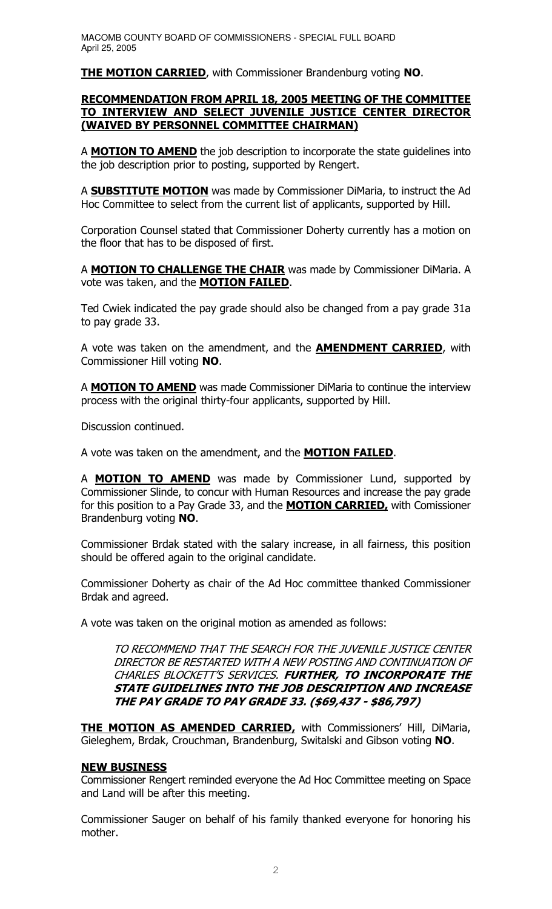**THE MOTION CARRIED**, with Commissioner Brandenburg voting NO.

# **RECOMMENDATION FROM APRIL 18, 2005 MEETING OF THE COMMITTEE** TO INTERVIEW AND SELECT JUVENILE JUSTICE CENTER DIRECTOR (WAIVED BY PERSONNEL COMMITTEE CHAIRMAN)

A MOTION TO AMEND the job description to incorporate the state quidelines into the job description prior to posting, supported by Rengert.

A **SUBSTITUTE MOTION** was made by Commissioner DiMaria, to instruct the Ad Hoc Committee to select from the current list of applicants, supported by Hill.

Corporation Counsel stated that Commissioner Doherty currently has a motion on the floor that has to be disposed of first.

A **MOTION TO CHALLENGE THE CHAIR** was made by Commissioner DiMaria. A vote was taken, and the **MOTION FAILED**.

Ted Cwiek indicated the pay grade should also be changed from a pay grade 31a to pay grade 33.

A vote was taken on the amendment, and the **AMENDMENT CARRIED**, with Commissioner Hill voting NO.

A **MOTION TO AMEND** was made Commissioner DiMaria to continue the interview process with the original thirty-four applicants, supported by Hill.

Discussion continued.

A vote was taken on the amendment, and the **MOTION FAILED**.

A **MOTION TO AMEND** was made by Commissioner Lund, supported by Commissioner Slinde, to concur with Human Resources and increase the pay grade for this position to a Pay Grade 33, and the **MOTION CARRIED**, with Comissioner Brandenburg voting NO.

Commissioner Brdak stated with the salary increase, in all fairness, this position should be offered again to the original candidate.

Commissioner Doherty as chair of the Ad Hoc committee thanked Commissioner Brdak and agreed.

A vote was taken on the original motion as amended as follows:

TO RECOMMEND THAT THE SEARCH FOR THE JUVENILE JUSTICE CENTER DIRECTOR BE RESTARTED WITH A NEW POSTING AND CONTINUATION OF CHARLES BLOCKETT'S SERVICES. FURTHER, TO INCORPORATE THE STATE GUIDELINES INTO THE JOB DESCRIPTION AND INCREASE THE PAY GRADE TO PAY GRADE 33. (\$69,437 - \$86,797)

THE MOTION AS AMENDED CARRIED, with Commissioners' Hill, DiMaria, Gieleghem, Brdak, Crouchman, Brandenburg, Switalski and Gibson voting NO.

# **NEW BUSINESS**

Commissioner Rengert reminded everyone the Ad Hoc Committee meeting on Space and Land will be after this meeting.

Commissioner Sauger on behalf of his family thanked everyone for honoring his mother.